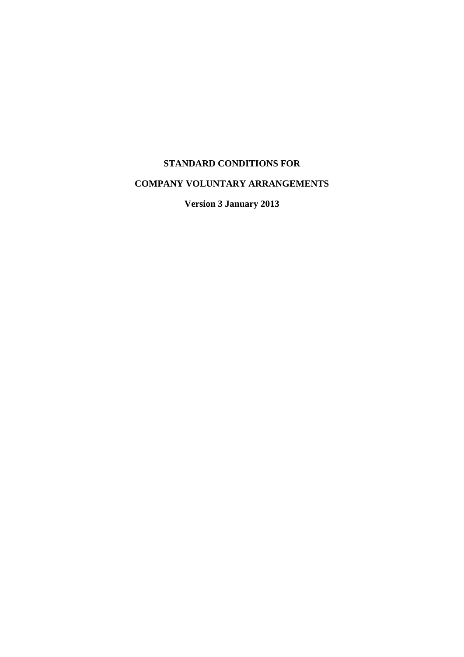### **STANDARD CONDITIONS FOR**

## **COMPANY VOLUNTARY ARRANGEMENTS**

**Version 3 January 2013**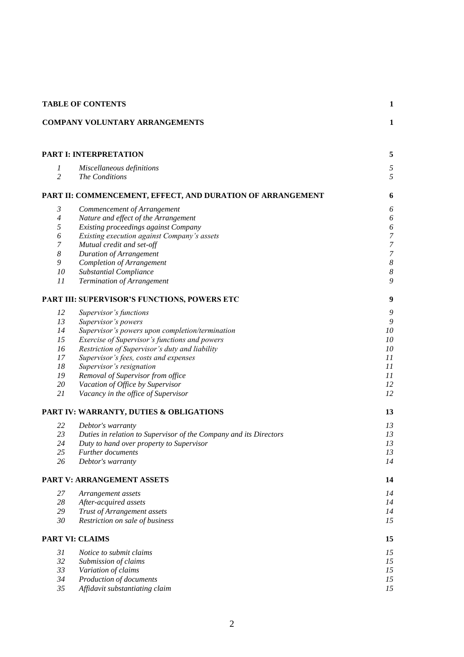| <b>TABLE OF CONTENTS</b>           |                                                                   | $\mathbf{1}$          |  |
|------------------------------------|-------------------------------------------------------------------|-----------------------|--|
|                                    | <b>COMPANY VOLUNTARY ARRANGEMENTS</b>                             | $\mathbf{1}$          |  |
| <b>PART I: INTERPRETATION</b><br>5 |                                                                   |                       |  |
| 1<br>$\overline{c}$                | Miscellaneous definitions<br>The Conditions                       | 5<br>5                |  |
|                                    | PART II: COMMENCEMENT, EFFECT, AND DURATION OF ARRANGEMENT        | 6                     |  |
| 3                                  | Commencement of Arrangement                                       | 6                     |  |
| $\overline{4}$                     | Nature and effect of the Arrangement                              | $\boldsymbol{\delta}$ |  |
| 5                                  | Existing proceedings against Company                              | $\boldsymbol{\delta}$ |  |
| 6                                  | Existing execution against Company's assets                       | $\boldsymbol{7}$      |  |
| $\boldsymbol{7}$                   | Mutual credit and set-off                                         | $\boldsymbol{7}$      |  |
| $\boldsymbol{8}$                   | <b>Duration of Arrangement</b>                                    | $\boldsymbol{7}$      |  |
| 9                                  | Completion of Arrangement                                         | $\boldsymbol{8}$      |  |
| 10                                 | Substantial Compliance                                            | $\boldsymbol{8}$      |  |
| 11                                 | Termination of Arrangement                                        | 9                     |  |
|                                    | PART III: SUPERVISOR'S FUNCTIONS, POWERS ETC                      | 9                     |  |
| 12                                 | Supervisor's functions                                            | 9                     |  |
| 13                                 | Supervisor's powers                                               | $\mathfrak g$         |  |
| 14                                 | Supervisor's powers upon completion/termination                   | $10\,$                |  |
| 15                                 | Exercise of Supervisor's functions and powers                     | $10\,$                |  |
| 16                                 | Restriction of Supervisor's duty and liability                    | 10                    |  |
| 17                                 | Supervisor's fees, costs and expenses                             | 11                    |  |
| 18                                 | Supervisor's resignation                                          | 11                    |  |
| 19                                 | Removal of Supervisor from office                                 | 11                    |  |
| 20                                 | Vacation of Office by Supervisor                                  | 12                    |  |
| 21                                 | Vacancy in the office of Supervisor                               | 12                    |  |
|                                    | PART IV: WARRANTY, DUTIES & OBLIGATIONS                           | 13                    |  |
| 22                                 | Debtor's warranty                                                 | 13                    |  |
| 23                                 | Duties in relation to Supervisor of the Company and its Directors | 13                    |  |
| 24                                 | Duty to hand over property to Supervisor                          | 13                    |  |
| 25                                 | <i>Further documents</i>                                          | 13                    |  |
| 26                                 | Debtor's warranty                                                 | 14                    |  |
|                                    | <b>PART V: ARRANGEMENT ASSETS</b>                                 | 14                    |  |
| 27                                 | Arrangement assets                                                | 14                    |  |
| 28                                 | After-acquired assets                                             | 14                    |  |
| 29                                 | Trust of Arrangement assets                                       | 14                    |  |
| 30                                 | Restriction on sale of business                                   | 15                    |  |
|                                    | <b>PART VI: CLAIMS</b>                                            | 15                    |  |
| 31                                 | Notice to submit claims                                           | 15                    |  |
| 32                                 | Submission of claims                                              | 15                    |  |
| 33                                 | Variation of claims                                               | 15                    |  |
| 34                                 | Production of documents                                           | 15                    |  |
| 35                                 | Affidavit substantiating claim                                    | 15                    |  |
|                                    |                                                                   |                       |  |

#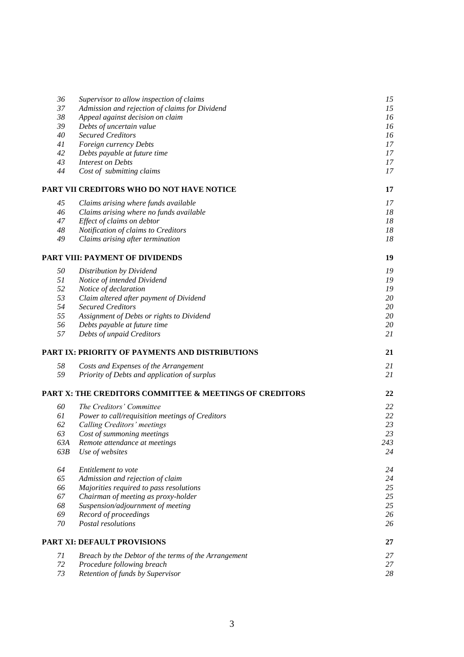| 36       | Supervisor to allow inspection of claims                                | 15       |
|----------|-------------------------------------------------------------------------|----------|
| 37       | Admission and rejection of claims for Dividend                          | 15       |
| 38       | Appeal against decision on claim                                        | 16       |
| 39       | Debts of uncertain value                                                | 16       |
| 40       | <b>Secured Creditors</b>                                                | 16       |
| 41       | Foreign currency Debts                                                  | 17       |
| 42       | Debts payable at future time                                            | 17       |
| 43<br>44 | <b>Interest on Debts</b><br>Cost of submitting claims                   | 17<br>17 |
|          |                                                                         |          |
|          | PART VII CREDITORS WHO DO NOT HAVE NOTICE                               | 17       |
| 45       | Claims arising where funds available                                    | 17       |
| 46       | Claims arising where no funds available                                 | 18       |
| 47       | Effect of claims on debtor                                              | 18       |
| 48<br>49 | Notification of claims to Creditors<br>Claims arising after termination | 18<br>18 |
|          |                                                                         |          |
|          | PART VIII: PAYMENT OF DIVIDENDS                                         | 19       |
| 50       | Distribution by Dividend                                                | 19       |
| 51       | Notice of intended Dividend                                             | 19       |
| 52       | Notice of declaration                                                   | 19       |
| 53       | Claim altered after payment of Dividend                                 | 20       |
| 54       | <b>Secured Creditors</b>                                                | 20       |
| 55       | Assignment of Debts or rights to Dividend                               | 20       |
| 56       | Debts payable at future time                                            | 20       |
| 57       | Debts of unpaid Creditors                                               | 21       |
|          | PART IX: PRIORITY OF PAYMENTS AND DISTRIBUTIONS                         | 21       |
| 58       | Costs and Expenses of the Arrangement                                   | 21       |
| 59       | Priority of Debts and application of surplus                            | 21       |
|          | PART X: THE CREDITORS COMMITTEE & MEETINGS OF CREDITORS                 | 22       |
| 60       | The Creditors' Committee                                                | 22       |
| 61       | Power to call/requisition meetings of Creditors                         | 22       |
| 62       | Calling Creditors' meetings                                             | 23       |
| 63       | Cost of summoning meetings                                              | 23       |
| 63A      | Remote attendance at meetings                                           | 243      |
| 63B      | Use of websites                                                         | 24       |
| 64       | Entitlement to vote                                                     | 24       |
| 65       | Admission and rejection of claim                                        | 24       |
| 66       | Majorities required to pass resolutions                                 | 25       |
| 67       | Chairman of meeting as proxy-holder                                     | 25       |
| 68       | Suspension/adjournment of meeting                                       | 25       |
| 69       | Record of proceedings                                                   | 26       |
| 70       | Postal resolutions                                                      | 26       |
|          | <b>PART XI: DEFAULT PROVISIONS</b>                                      | 27       |
| 71       | Breach by the Debtor of the terms of the Arrangement                    | 27       |
| 72       | Procedure following breach                                              | 27       |
| 73       | Retention of funds by Supervisor                                        | 28       |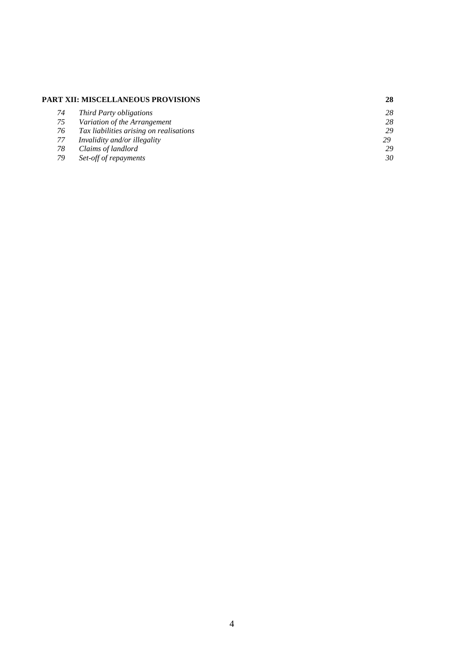#### **PART XII: MISCELLANEOUS PROVISIONS 28**

| 74 | Third Party obligations                 | 28 |
|----|-----------------------------------------|----|
| 75 | Variation of the Arrangement            | 28 |
| 76 | Tax liabilities arising on realisations | 29 |
| 77 | Invalidity and/or illegality            | 29 |
| 78 | Claims of landlord                      | 29 |
| 79 | Set-off of repayments                   | 30 |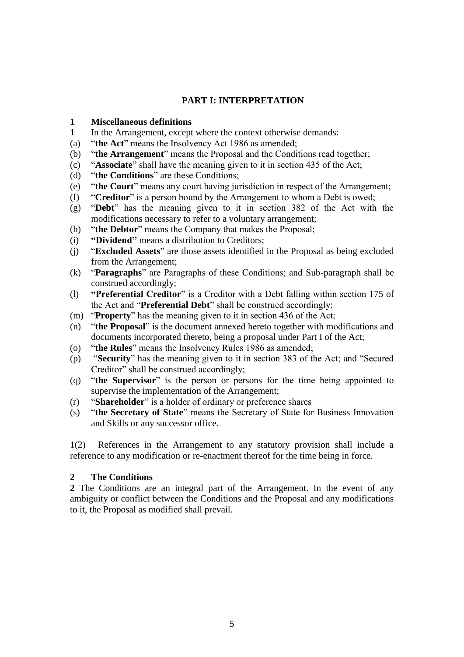### **PART I: INTERPRETATION**

#### **1 Miscellaneous definitions**

- **1** In the Arrangement, except where the context otherwise demands:
- (a) "**the Act**" means the Insolvency Act 1986 as amended;
- (b) "**the Arrangement**" means the Proposal and the Conditions read together;
- (c) "**Associate**" shall have the meaning given to it in section 435 of the Act;
- (d) "**the Conditions**" are these Conditions;
- (e) "**the Court**" means any court having jurisdiction in respect of the Arrangement;
- (f) "**Creditor**" is a person bound by the Arrangement to whom a Debt is owed;
- (g) "**Debt**" has the meaning given to it in section 382 of the Act with the modifications necessary to refer to a voluntary arrangement;
- (h) "**the Debtor**" means the Company that makes the Proposal;
- (i) **"Dividend"** means a distribution to Creditors;
- (j) "**Excluded Assets**" are those assets identified in the Proposal as being excluded from the Arrangement;
- (k) "**Paragraphs**" are Paragraphs of these Conditions; and Sub-paragraph shall be construed accordingly;
- (l) **"Preferential Creditor**" is a Creditor with a Debt falling within section 175 of the Act and "**Preferential Debt**" shall be construed accordingly;
- (m) "**Property**" has the meaning given to it in section 436 of the Act;
- (n) "**the Proposal**" is the document annexed hereto together with modifications and documents incorporated thereto, being a proposal under Part I of the Act;
- (o) "**the Rules**" means the Insolvency Rules 1986 as amended;
- (p) "**Security**" has the meaning given to it in section 383 of the Act; and "Secured Creditor" shall be construed accordingly;
- (q) "**the Supervisor**" is the person or persons for the time being appointed to supervise the implementation of the Arrangement;
- (r) "**Shareholder**" is a holder of ordinary or preference shares
- (s) "**the Secretary of State**" means the Secretary of State for Business Innovation and Skills or any successor office.

1(2) References in the Arrangement to any statutory provision shall include a reference to any modification or re-enactment thereof for the time being in force.

#### **2 The Conditions**

**2** The Conditions are an integral part of the Arrangement. In the event of any ambiguity or conflict between the Conditions and the Proposal and any modifications to it, the Proposal as modified shall prevail.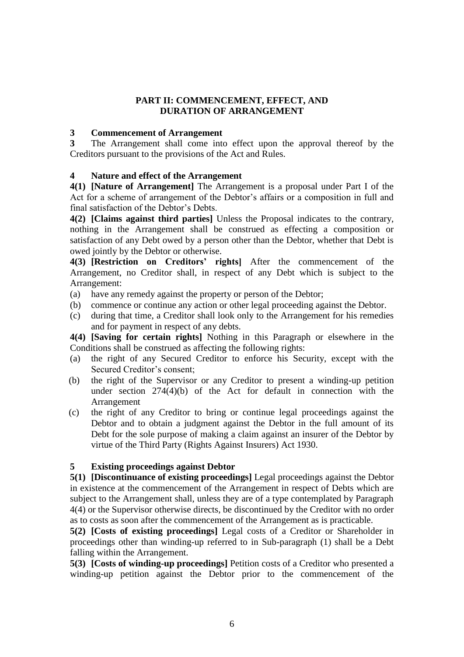### **PART II: COMMENCEMENT, EFFECT, AND DURATION OF ARRANGEMENT**

#### **3 Commencement of Arrangement**

**3** The Arrangement shall come into effect upon the approval thereof by the Creditors pursuant to the provisions of the Act and Rules.

### **4 Nature and effect of the Arrangement**

**4(1) [Nature of Arrangement]** The Arrangement is a proposal under Part I of the Act for a scheme of arrangement of the Debtor's affairs or a composition in full and final satisfaction of the Debtor's Debts.

**4(2) [Claims against third parties]** Unless the Proposal indicates to the contrary, nothing in the Arrangement shall be construed as effecting a composition or satisfaction of any Debt owed by a person other than the Debtor, whether that Debt is owed jointly by the Debtor or otherwise.

**4(3) [Restriction on Creditors' rights]** After the commencement of the Arrangement, no Creditor shall, in respect of any Debt which is subject to the Arrangement:

- (a) have any remedy against the property or person of the Debtor;
- (b) commence or continue any action or other legal proceeding against the Debtor.
- (c) during that time, a Creditor shall look only to the Arrangement for his remedies and for payment in respect of any debts.

**4(4) [Saving for certain rights]** Nothing in this Paragraph or elsewhere in the Conditions shall be construed as affecting the following rights:

- (a) the right of any Secured Creditor to enforce his Security, except with the Secured Creditor's consent;
- (b) the right of the Supervisor or any Creditor to present a winding-up petition under section 274(4)(b) of the Act for default in connection with the Arrangement
- (c) the right of any Creditor to bring or continue legal proceedings against the Debtor and to obtain a judgment against the Debtor in the full amount of its Debt for the sole purpose of making a claim against an insurer of the Debtor by virtue of the Third Party (Rights Against Insurers) Act 1930.

### **5 Existing proceedings against Debtor**

**5(1) [Discontinuance of existing proceedings]** Legal proceedings against the Debtor in existence at the commencement of the Arrangement in respect of Debts which are subject to the Arrangement shall, unless they are of a type contemplated by Paragraph 4(4) or the Supervisor otherwise directs, be discontinued by the Creditor with no order as to costs as soon after the commencement of the Arrangement as is practicable.

**5(2) [Costs of existing proceedings]** Legal costs of a Creditor or Shareholder in proceedings other than winding-up referred to in Sub-paragraph (1) shall be a Debt falling within the Arrangement.

**5(3) [Costs of winding-up proceedings]** Petition costs of a Creditor who presented a winding-up petition against the Debtor prior to the commencement of the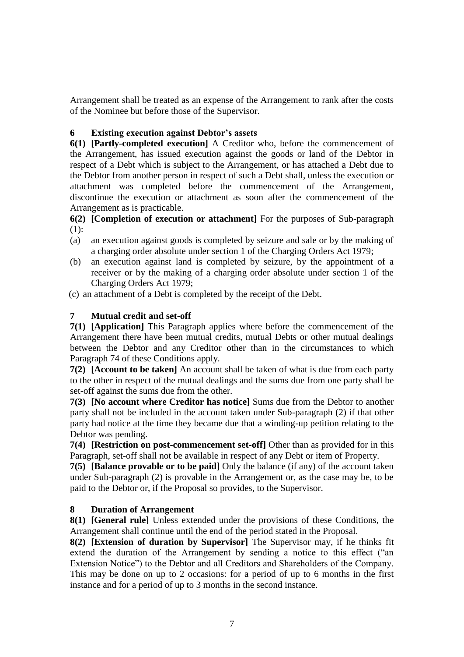Arrangement shall be treated as an expense of the Arrangement to rank after the costs of the Nominee but before those of the Supervisor.

### **6 Existing execution against Debtor's assets**

**6(1) [Partly-completed execution]** A Creditor who, before the commencement of the Arrangement, has issued execution against the goods or land of the Debtor in respect of a Debt which is subject to the Arrangement, or has attached a Debt due to the Debtor from another person in respect of such a Debt shall, unless the execution or attachment was completed before the commencement of the Arrangement, discontinue the execution or attachment as soon after the commencement of the Arrangement as is practicable.

**6(2) [Completion of execution or attachment]** For the purposes of Sub-paragraph  $(1)$ :

- (a) an execution against goods is completed by seizure and sale or by the making of a charging order absolute under section 1 of the Charging Orders Act 1979;
- (b) an execution against land is completed by seizure, by the appointment of a receiver or by the making of a charging order absolute under section 1 of the Charging Orders Act 1979;
- (c) an attachment of a Debt is completed by the receipt of the Debt.

### **7 Mutual credit and set-off**

**7(1) [Application]** This Paragraph applies where before the commencement of the Arrangement there have been mutual credits, mutual Debts or other mutual dealings between the Debtor and any Creditor other than in the circumstances to which Paragraph 74 of these Conditions apply.

**7(2) [Account to be taken]** An account shall be taken of what is due from each party to the other in respect of the mutual dealings and the sums due from one party shall be set-off against the sums due from the other.

**7(3) [No account where Creditor has notice]** Sums due from the Debtor to another party shall not be included in the account taken under Sub-paragraph (2) if that other party had notice at the time they became due that a winding-up petition relating to the Debtor was pending.

**7(4) [Restriction on post-commencement set-off]** Other than as provided for in this Paragraph, set-off shall not be available in respect of any Debt or item of Property.

**7(5) [Balance provable or to be paid]** Only the balance (if any) of the account taken under Sub-paragraph (2) is provable in the Arrangement or, as the case may be, to be paid to the Debtor or, if the Proposal so provides, to the Supervisor.

#### **8 Duration of Arrangement**

**8(1) [General rule]** Unless extended under the provisions of these Conditions, the Arrangement shall continue until the end of the period stated in the Proposal.

**8(2) [Extension of duration by Supervisor]** The Supervisor may, if he thinks fit extend the duration of the Arrangement by sending a notice to this effect ("an Extension Notice") to the Debtor and all Creditors and Shareholders of the Company. This may be done on up to 2 occasions: for a period of up to 6 months in the first instance and for a period of up to 3 months in the second instance.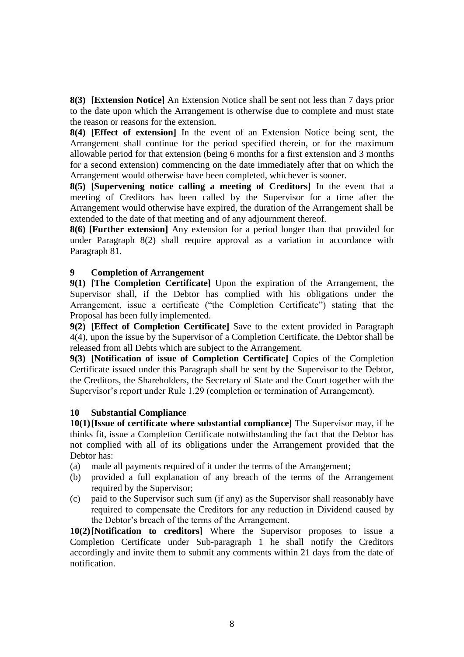**8(3) [Extension Notice]** An Extension Notice shall be sent not less than 7 days prior to the date upon which the Arrangement is otherwise due to complete and must state the reason or reasons for the extension.

**8(4) [Effect of extension]** In the event of an Extension Notice being sent, the Arrangement shall continue for the period specified therein, or for the maximum allowable period for that extension (being 6 months for a first extension and 3 months for a second extension) commencing on the date immediately after that on which the Arrangement would otherwise have been completed, whichever is sooner.

**8(5) [Supervening notice calling a meeting of Creditors]** In the event that a meeting of Creditors has been called by the Supervisor for a time after the Arrangement would otherwise have expired, the duration of the Arrangement shall be extended to the date of that meeting and of any adjournment thereof.

**8(6) [Further extension]** Any extension for a period longer than that provided for under Paragraph 8(2) shall require approval as a variation in accordance with Paragraph 81.

### **9 Completion of Arrangement**

**9(1) [The Completion Certificate]** Upon the expiration of the Arrangement, the Supervisor shall, if the Debtor has complied with his obligations under the Arrangement, issue a certificate ("the Completion Certificate") stating that the Proposal has been fully implemented.

**9(2) [Effect of Completion Certificate]** Save to the extent provided in Paragraph 4(4), upon the issue by the Supervisor of a Completion Certificate, the Debtor shall be released from all Debts which are subject to the Arrangement.

**9(3) [Notification of issue of Completion Certificate]** Copies of the Completion Certificate issued under this Paragraph shall be sent by the Supervisor to the Debtor, the Creditors, the Shareholders, the Secretary of State and the Court together with the Supervisor's report under Rule 1.29 (completion or termination of Arrangement).

#### **10 Substantial Compliance**

**10(1)[Issue of certificate where substantial compliance]** The Supervisor may, if he thinks fit, issue a Completion Certificate notwithstanding the fact that the Debtor has not complied with all of its obligations under the Arrangement provided that the Debtor has:

- (a) made all payments required of it under the terms of the Arrangement;
- (b) provided a full explanation of any breach of the terms of the Arrangement required by the Supervisor;
- (c) paid to the Supervisor such sum (if any) as the Supervisor shall reasonably have required to compensate the Creditors for any reduction in Dividend caused by the Debtor's breach of the terms of the Arrangement.

**10(2)[Notification to creditors]** Where the Supervisor proposes to issue a Completion Certificate under Sub-paragraph 1 he shall notify the Creditors accordingly and invite them to submit any comments within 21 days from the date of notification.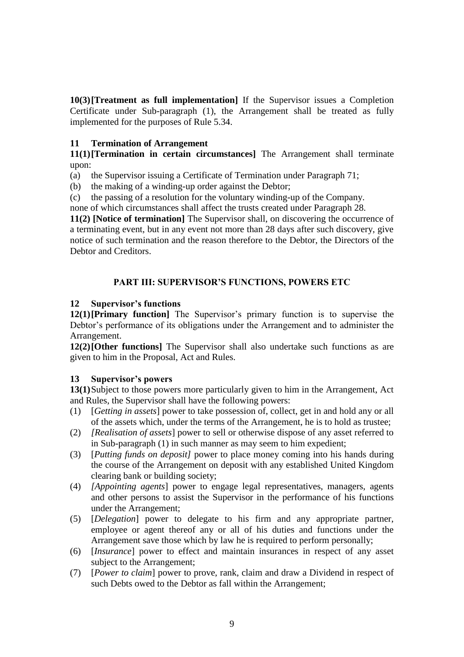**10(3)[Treatment as full implementation]** If the Supervisor issues a Completion Certificate under Sub-paragraph (1), the Arrangement shall be treated as fully implemented for the purposes of Rule 5.34.

### **11 Termination of Arrangement**

**11(1)[Termination in certain circumstances]** The Arrangement shall terminate upon:

- (a) the Supervisor issuing a Certificate of Termination under Paragraph 71;
- (b) the making of a winding-up order against the Debtor;
- (c) the passing of a resolution for the voluntary winding-up of the Company.

none of which circumstances shall affect the trusts created under Paragraph 28.

**11(2) [Notice of termination]** The Supervisor shall, on discovering the occurrence of a terminating event, but in any event not more than 28 days after such discovery, give notice of such termination and the reason therefore to the Debtor, the Directors of the Debtor and Creditors.

### **PART III: SUPERVISOR'S FUNCTIONS, POWERS ETC**

### **12 Supervisor's functions**

**12(1)[Primary function]** The Supervisor's primary function is to supervise the Debtor's performance of its obligations under the Arrangement and to administer the Arrangement.

**12(2)[Other functions]** The Supervisor shall also undertake such functions as are given to him in the Proposal, Act and Rules.

### **13 Supervisor's powers**

**13(1)**Subject to those powers more particularly given to him in the Arrangement, Act and Rules, the Supervisor shall have the following powers:

- (1) [*Getting in assets*] power to take possession of, collect, get in and hold any or all of the assets which, under the terms of the Arrangement, he is to hold as trustee;
- (2) *[Realisation of assets*] power to sell or otherwise dispose of any asset referred to in Sub-paragraph (1) in such manner as may seem to him expedient;
- (3) [*Putting funds on deposit]* power to place money coming into his hands during the course of the Arrangement on deposit with any established United Kingdom clearing bank or building society;
- (4) *[Appointing agents*] power to engage legal representatives, managers, agents and other persons to assist the Supervisor in the performance of his functions under the Arrangement;
- (5) [*Delegation*] power to delegate to his firm and any appropriate partner, employee or agent thereof any or all of his duties and functions under the Arrangement save those which by law he is required to perform personally;
- (6) [*Insurance*] power to effect and maintain insurances in respect of any asset subject to the Arrangement;
- (7) [*Power to claim*] power to prove, rank, claim and draw a Dividend in respect of such Debts owed to the Debtor as fall within the Arrangement;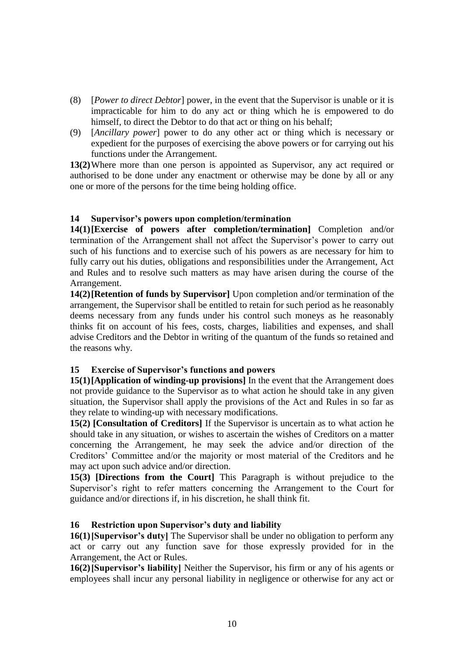- (8) [*Power to direct Debtor*] power, in the event that the Supervisor is unable or it is impracticable for him to do any act or thing which he is empowered to do himself, to direct the Debtor to do that act or thing on his behalf;
- (9) [*Ancillary power*] power to do any other act or thing which is necessary or expedient for the purposes of exercising the above powers or for carrying out his functions under the Arrangement.

**13(2)**Where more than one person is appointed as Supervisor, any act required or authorised to be done under any enactment or otherwise may be done by all or any one or more of the persons for the time being holding office.

### **14 Supervisor's powers upon completion/termination**

**14(1)[Exercise of powers after completion/termination]** Completion and/or termination of the Arrangement shall not affect the Supervisor's power to carry out such of his functions and to exercise such of his powers as are necessary for him to fully carry out his duties, obligations and responsibilities under the Arrangement, Act and Rules and to resolve such matters as may have arisen during the course of the Arrangement.

**14(2)[Retention of funds by Supervisor]** Upon completion and/or termination of the arrangement, the Supervisor shall be entitled to retain for such period as he reasonably deems necessary from any funds under his control such moneys as he reasonably thinks fit on account of his fees, costs, charges, liabilities and expenses, and shall advise Creditors and the Debtor in writing of the quantum of the funds so retained and the reasons why.

### **15 Exercise of Supervisor's functions and powers**

**15(1)[Application of winding-up provisions]** In the event that the Arrangement does not provide guidance to the Supervisor as to what action he should take in any given situation, the Supervisor shall apply the provisions of the Act and Rules in so far as they relate to winding-up with necessary modifications.

**15(2) [Consultation of Creditors]** If the Supervisor is uncertain as to what action he should take in any situation, or wishes to ascertain the wishes of Creditors on a matter concerning the Arrangement, he may seek the advice and/or direction of the Creditors' Committee and/or the majority or most material of the Creditors and he may act upon such advice and/or direction.

**15(3) [Directions from the Court]** This Paragraph is without prejudice to the Supervisor's right to refer matters concerning the Arrangement to the Court for guidance and/or directions if, in his discretion, he shall think fit.

#### **16 Restriction upon Supervisor's duty and liability**

**16(1)[Supervisor's duty]** The Supervisor shall be under no obligation to perform any act or carry out any function save for those expressly provided for in the Arrangement, the Act or Rules.

**16(2)[Supervisor's liability]** Neither the Supervisor, his firm or any of his agents or employees shall incur any personal liability in negligence or otherwise for any act or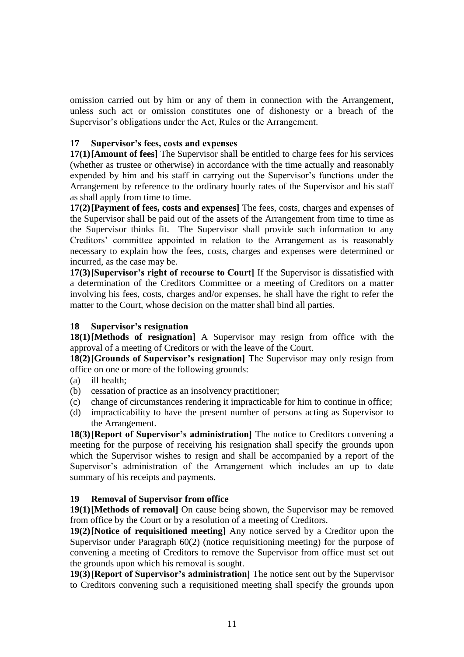omission carried out by him or any of them in connection with the Arrangement, unless such act or omission constitutes one of dishonesty or a breach of the Supervisor's obligations under the Act, Rules or the Arrangement.

### **17 Supervisor's fees, costs and expenses**

**17(1)[Amount of fees]** The Supervisor shall be entitled to charge fees for his services (whether as trustee or otherwise) in accordance with the time actually and reasonably expended by him and his staff in carrying out the Supervisor's functions under the Arrangement by reference to the ordinary hourly rates of the Supervisor and his staff as shall apply from time to time.

**17(2)[Payment of fees, costs and expenses]** The fees, costs, charges and expenses of the Supervisor shall be paid out of the assets of the Arrangement from time to time as the Supervisor thinks fit. The Supervisor shall provide such information to any Creditors' committee appointed in relation to the Arrangement as is reasonably necessary to explain how the fees, costs, charges and expenses were determined or incurred, as the case may be.

**17(3)[Supervisor's right of recourse to Court]** If the Supervisor is dissatisfied with a determination of the Creditors Committee or a meeting of Creditors on a matter involving his fees, costs, charges and/or expenses, he shall have the right to refer the matter to the Court, whose decision on the matter shall bind all parties.

#### **18 Supervisor's resignation**

**18(1)[Methods of resignation]** A Supervisor may resign from office with the approval of a meeting of Creditors or with the leave of the Court.

**18(2)[Grounds of Supervisor's resignation]** The Supervisor may only resign from office on one or more of the following grounds:

- (a) ill health;
- (b) cessation of practice as an insolvency practitioner;
- (c) change of circumstances rendering it impracticable for him to continue in office;
- (d) impracticability to have the present number of persons acting as Supervisor to the Arrangement.

**18(3)[Report of Supervisor's administration]** The notice to Creditors convening a meeting for the purpose of receiving his resignation shall specify the grounds upon which the Supervisor wishes to resign and shall be accompanied by a report of the Supervisor's administration of the Arrangement which includes an up to date summary of his receipts and payments.

#### **19 Removal of Supervisor from office**

**19(1)[Methods of removal]** On cause being shown, the Supervisor may be removed from office by the Court or by a resolution of a meeting of Creditors.

**19(2)[Notice of requisitioned meeting]** Any notice served by a Creditor upon the Supervisor under Paragraph 60(2) (notice requisitioning meeting) for the purpose of convening a meeting of Creditors to remove the Supervisor from office must set out the grounds upon which his removal is sought.

**19(3)[Report of Supervisor's administration]** The notice sent out by the Supervisor to Creditors convening such a requisitioned meeting shall specify the grounds upon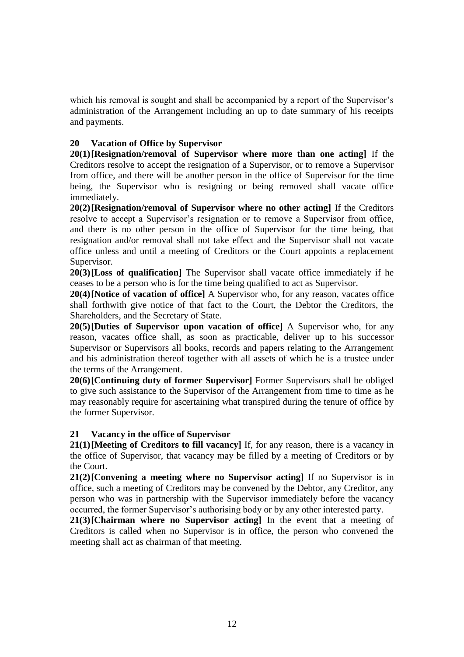which his removal is sought and shall be accompanied by a report of the Supervisor's administration of the Arrangement including an up to date summary of his receipts and payments.

### **20 Vacation of Office by Supervisor**

**20(1)[Resignation/removal of Supervisor where more than one acting]** If the Creditors resolve to accept the resignation of a Supervisor, or to remove a Supervisor from office, and there will be another person in the office of Supervisor for the time being, the Supervisor who is resigning or being removed shall vacate office immediately.

**20(2)[Resignation/removal of Supervisor where no other acting]** If the Creditors resolve to accept a Supervisor's resignation or to remove a Supervisor from office, and there is no other person in the office of Supervisor for the time being, that resignation and/or removal shall not take effect and the Supervisor shall not vacate office unless and until a meeting of Creditors or the Court appoints a replacement Supervisor.

**20(3)[Loss of qualification]** The Supervisor shall vacate office immediately if he ceases to be a person who is for the time being qualified to act as Supervisor.

**20(4)[Notice of vacation of office]** A Supervisor who, for any reason, vacates office shall forthwith give notice of that fact to the Court, the Debtor the Creditors, the Shareholders, and the Secretary of State.

**20(5)[Duties of Supervisor upon vacation of office]** A Supervisor who, for any reason, vacates office shall, as soon as practicable, deliver up to his successor Supervisor or Supervisors all books, records and papers relating to the Arrangement and his administration thereof together with all assets of which he is a trustee under the terms of the Arrangement.

**20(6)[Continuing duty of former Supervisor]** Former Supervisors shall be obliged to give such assistance to the Supervisor of the Arrangement from time to time as he may reasonably require for ascertaining what transpired during the tenure of office by the former Supervisor.

#### **21 Vacancy in the office of Supervisor**

**21(1)[Meeting of Creditors to fill vacancy]** If, for any reason, there is a vacancy in the office of Supervisor, that vacancy may be filled by a meeting of Creditors or by the Court.

**21(2)[Convening a meeting where no Supervisor acting]** If no Supervisor is in office, such a meeting of Creditors may be convened by the Debtor, any Creditor, any person who was in partnership with the Supervisor immediately before the vacancy occurred, the former Supervisor's authorising body or by any other interested party.

**21(3)[Chairman where no Supervisor acting]** In the event that a meeting of Creditors is called when no Supervisor is in office, the person who convened the meeting shall act as chairman of that meeting.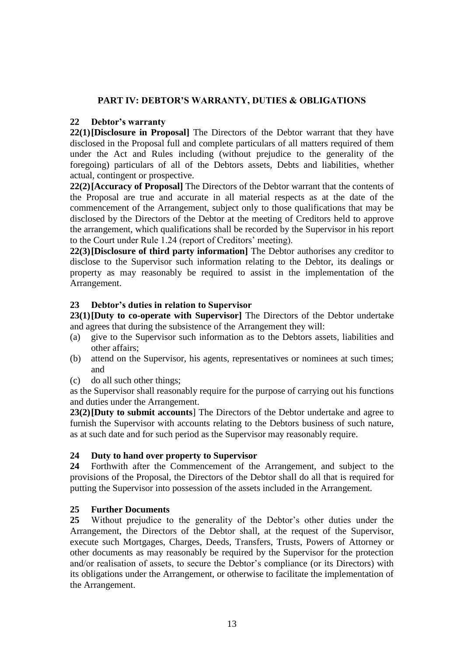### **PART IV: DEBTOR'S WARRANTY, DUTIES & OBLIGATIONS**

#### **22 Debtor's warranty**

**22(1)[Disclosure in Proposal]** The Directors of the Debtor warrant that they have disclosed in the Proposal full and complete particulars of all matters required of them under the Act and Rules including (without prejudice to the generality of the foregoing) particulars of all of the Debtors assets, Debts and liabilities, whether actual, contingent or prospective.

**22(2)[Accuracy of Proposal]** The Directors of the Debtor warrant that the contents of the Proposal are true and accurate in all material respects as at the date of the commencement of the Arrangement, subject only to those qualifications that may be disclosed by the Directors of the Debtor at the meeting of Creditors held to approve the arrangement, which qualifications shall be recorded by the Supervisor in his report to the Court under Rule 1.24 (report of Creditors' meeting).

**22(3)[Disclosure of third party information]** The Debtor authorises any creditor to disclose to the Supervisor such information relating to the Debtor, its dealings or property as may reasonably be required to assist in the implementation of the Arrangement.

### **23 Debtor's duties in relation to Supervisor**

**23(1)[Duty to co-operate with Supervisor]** The Directors of the Debtor undertake and agrees that during the subsistence of the Arrangement they will:

- (a) give to the Supervisor such information as to the Debtors assets, liabilities and other affairs;
- (b) attend on the Supervisor, his agents, representatives or nominees at such times; and
- (c) do all such other things;

as the Supervisor shall reasonably require for the purpose of carrying out his functions and duties under the Arrangement.

**23(2)[Duty to submit accounts**] The Directors of the Debtor undertake and agree to furnish the Supervisor with accounts relating to the Debtors business of such nature, as at such date and for such period as the Supervisor may reasonably require.

### **24 Duty to hand over property to Supervisor**

**24** Forthwith after the Commencement of the Arrangement, and subject to the provisions of the Proposal, the Directors of the Debtor shall do all that is required for putting the Supervisor into possession of the assets included in the Arrangement.

#### **25 Further Documents**

**25** Without prejudice to the generality of the Debtor's other duties under the Arrangement, the Directors of the Debtor shall, at the request of the Supervisor, execute such Mortgages, Charges, Deeds, Transfers, Trusts, Powers of Attorney or other documents as may reasonably be required by the Supervisor for the protection and/or realisation of assets, to secure the Debtor's compliance (or its Directors) with its obligations under the Arrangement, or otherwise to facilitate the implementation of the Arrangement.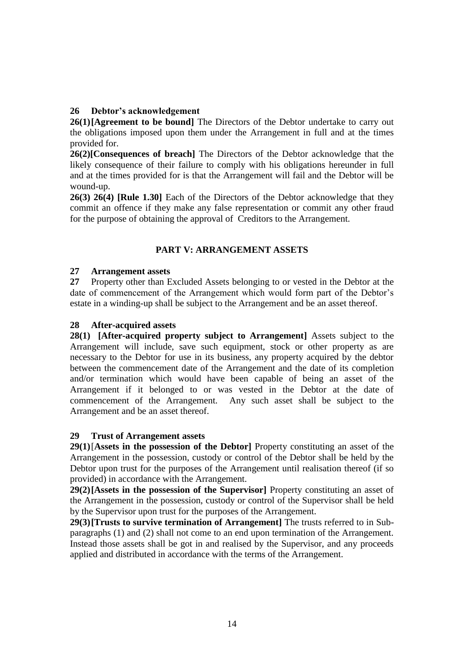### **26 Debtor's acknowledgement**

**26(1)[Agreement to be bound]** The Directors of the Debtor undertake to carry out the obligations imposed upon them under the Arrangement in full and at the times provided for.

**26(2)[Consequences of breach]** The Directors of the Debtor acknowledge that the likely consequence of their failure to comply with his obligations hereunder in full and at the times provided for is that the Arrangement will fail and the Debtor will be wound-up.

**26(3) 26(4) [Rule 1.30]** Each of the Directors of the Debtor acknowledge that they commit an offence if they make any false representation or commit any other fraud for the purpose of obtaining the approval of Creditors to the Arrangement.

### **PART V: ARRANGEMENT ASSETS**

### **27 Arrangement assets**

**27** Property other than Excluded Assets belonging to or vested in the Debtor at the date of commencement of the Arrangement which would form part of the Debtor's estate in a winding-up shall be subject to the Arrangement and be an asset thereof.

### **28 After-acquired assets**

**28(1) [After-acquired property subject to Arrangement]** Assets subject to the Arrangement will include, save such equipment, stock or other property as are necessary to the Debtor for use in its business, any property acquired by the debtor between the commencement date of the Arrangement and the date of its completion and/or termination which would have been capable of being an asset of the Arrangement if it belonged to or was vested in the Debtor at the date of commencement of the Arrangement. Any such asset shall be subject to the Arrangement and be an asset thereof.

### **29 Trust of Arrangement assets**

**29(1)**[**Assets in the possession of the Debtor]** Property constituting an asset of the Arrangement in the possession, custody or control of the Debtor shall be held by the Debtor upon trust for the purposes of the Arrangement until realisation thereof (if so provided) in accordance with the Arrangement.

**29(2)[Assets in the possession of the Supervisor]** Property constituting an asset of the Arrangement in the possession, custody or control of the Supervisor shall be held by the Supervisor upon trust for the purposes of the Arrangement.

**29(3)[Trusts to survive termination of Arrangement]** The trusts referred to in Subparagraphs (1) and (2) shall not come to an end upon termination of the Arrangement. Instead those assets shall be got in and realised by the Supervisor, and any proceeds applied and distributed in accordance with the terms of the Arrangement.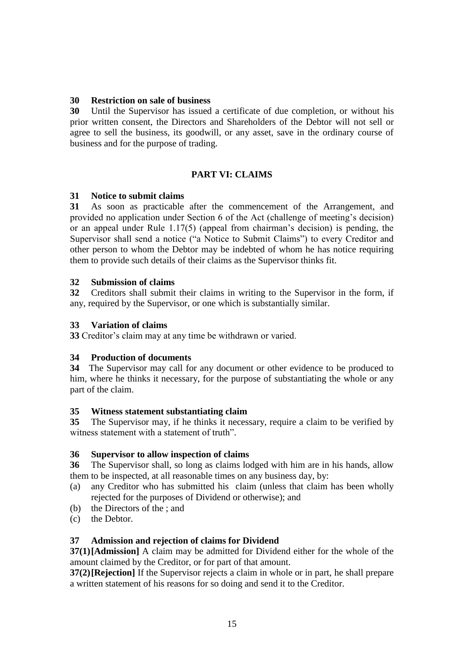### **30 Restriction on sale of business**

**30** Until the Supervisor has issued a certificate of due completion, or without his prior written consent, the Directors and Shareholders of the Debtor will not sell or agree to sell the business, its goodwill, or any asset, save in the ordinary course of business and for the purpose of trading.

### **PART VI: CLAIMS**

### **31 Notice to submit claims**

**31** As soon as practicable after the commencement of the Arrangement, and provided no application under Section 6 of the Act (challenge of meeting's decision) or an appeal under Rule 1.17(5) (appeal from chairman's decision) is pending, the Supervisor shall send a notice ("a Notice to Submit Claims") to every Creditor and other person to whom the Debtor may be indebted of whom he has notice requiring them to provide such details of their claims as the Supervisor thinks fit.

### **32 Submission of claims**

**32** Creditors shall submit their claims in writing to the Supervisor in the form, if any, required by the Supervisor, or one which is substantially similar.

### **33 Variation of claims**

**33** Creditor's claim may at any time be withdrawn or varied.

#### **34 Production of documents**

**34** The Supervisor may call for any document or other evidence to be produced to him, where he thinks it necessary, for the purpose of substantiating the whole or any part of the claim.

#### **35 Witness statement substantiating claim**

**35** The Supervisor may, if he thinks it necessary, require a claim to be verified by witness statement with a statement of truth".

#### **36 Supervisor to allow inspection of claims**

**36** The Supervisor shall, so long as claims lodged with him are in his hands, allow them to be inspected, at all reasonable times on any business day, by:

- (a) any Creditor who has submitted his claim (unless that claim has been wholly rejected for the purposes of Dividend or otherwise); and
- (b) the Directors of the ; and
- (c) the Debtor.

### **37 Admission and rejection of claims for Dividend**

**37(1)[Admission]** A claim may be admitted for Dividend either for the whole of the amount claimed by the Creditor, or for part of that amount.

**37(2)[Rejection]** If the Supervisor rejects a claim in whole or in part, he shall prepare a written statement of his reasons for so doing and send it to the Creditor.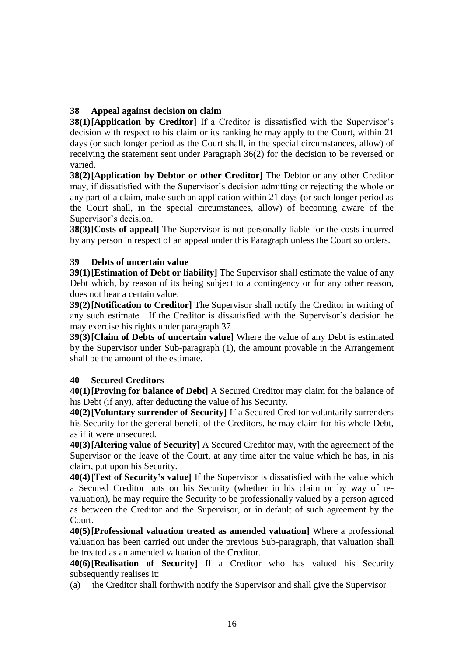### **38 Appeal against decision on claim**

**38(1)[Application by Creditor]** If a Creditor is dissatisfied with the Supervisor's decision with respect to his claim or its ranking he may apply to the Court, within 21 days (or such longer period as the Court shall, in the special circumstances, allow) of receiving the statement sent under Paragraph 36(2) for the decision to be reversed or varied.

**38(2)[Application by Debtor or other Creditor]** The Debtor or any other Creditor may, if dissatisfied with the Supervisor's decision admitting or rejecting the whole or any part of a claim, make such an application within 21 days (or such longer period as the Court shall, in the special circumstances, allow) of becoming aware of the Supervisor's decision.

**38(3)[Costs of appeal]** The Supervisor is not personally liable for the costs incurred by any person in respect of an appeal under this Paragraph unless the Court so orders.

### **39 Debts of uncertain value**

**39(1)**[Estimation of Debt or liability] The Supervisor shall estimate the value of any Debt which, by reason of its being subject to a contingency or for any other reason, does not bear a certain value.

**39(2)[Notification to Creditor]** The Supervisor shall notify the Creditor in writing of any such estimate. If the Creditor is dissatisfied with the Supervisor's decision he may exercise his rights under paragraph 37.

**39(3)[Claim of Debts of uncertain value]** Where the value of any Debt is estimated by the Supervisor under Sub-paragraph (1), the amount provable in the Arrangement shall be the amount of the estimate.

### **40 Secured Creditors**

**40(1)[Proving for balance of Debt]** A Secured Creditor may claim for the balance of his Debt (if any), after deducting the value of his Security.

**40(2)[Voluntary surrender of Security]** If a Secured Creditor voluntarily surrenders his Security for the general benefit of the Creditors, he may claim for his whole Debt, as if it were unsecured.

**40(3)[Altering value of Security]** A Secured Creditor may, with the agreement of the Supervisor or the leave of the Court, at any time alter the value which he has, in his claim, put upon his Security.

**40(4)[Test of Security's value]** If the Supervisor is dissatisfied with the value which a Secured Creditor puts on his Security (whether in his claim or by way of revaluation), he may require the Security to be professionally valued by a person agreed as between the Creditor and the Supervisor, or in default of such agreement by the Court.

**40(5)[Professional valuation treated as amended valuation]** Where a professional valuation has been carried out under the previous Sub-paragraph, that valuation shall be treated as an amended valuation of the Creditor.

**40(6)[Realisation of Security]** If a Creditor who has valued his Security subsequently realises it:

(a) the Creditor shall forthwith notify the Supervisor and shall give the Supervisor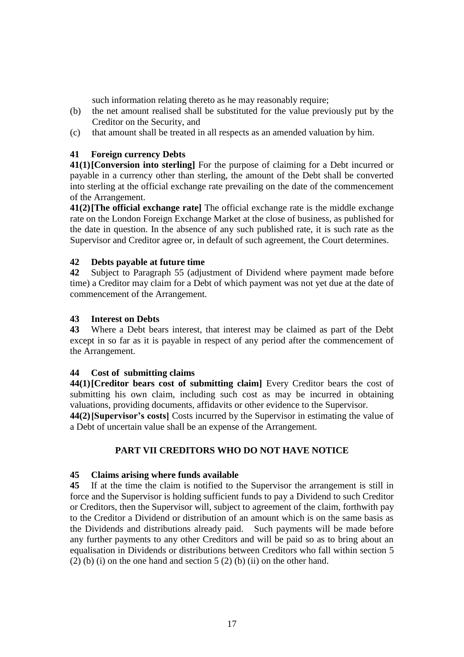such information relating thereto as he may reasonably require;

- (b) the net amount realised shall be substituted for the value previously put by the Creditor on the Security, and
- (c) that amount shall be treated in all respects as an amended valuation by him.

### **41 Foreign currency Debts**

**41(1)[Conversion into sterling]** For the purpose of claiming for a Debt incurred or payable in a currency other than sterling, the amount of the Debt shall be converted into sterling at the official exchange rate prevailing on the date of the commencement of the Arrangement.

**41(2)[The official exchange rate]** The official exchange rate is the middle exchange rate on the London Foreign Exchange Market at the close of business, as published for the date in question. In the absence of any such published rate, it is such rate as the Supervisor and Creditor agree or, in default of such agreement, the Court determines.

### **42 Debts payable at future time**

**42** Subject to Paragraph 55 (adjustment of Dividend where payment made before time) a Creditor may claim for a Debt of which payment was not yet due at the date of commencement of the Arrangement.

### **43 Interest on Debts**

**43** Where a Debt bears interest, that interest may be claimed as part of the Debt except in so far as it is payable in respect of any period after the commencement of the Arrangement.

### **44 Cost of submitting claims**

**44(1)[Creditor bears cost of submitting claim]** Every Creditor bears the cost of submitting his own claim, including such cost as may be incurred in obtaining valuations, providing documents, affidavits or other evidence to the Supervisor.

**44(2)[Supervisor's costs]** Costs incurred by the Supervisor in estimating the value of a Debt of uncertain value shall be an expense of the Arrangement.

### **PART VII CREDITORS WHO DO NOT HAVE NOTICE**

#### **45 Claims arising where funds available**

**45** If at the time the claim is notified to the Supervisor the arrangement is still in force and the Supervisor is holding sufficient funds to pay a Dividend to such Creditor or Creditors, then the Supervisor will, subject to agreement of the claim, forthwith pay to the Creditor a Dividend or distribution of an amount which is on the same basis as the Dividends and distributions already paid. Such payments will be made before any further payments to any other Creditors and will be paid so as to bring about an equalisation in Dividends or distributions between Creditors who fall within section 5 (2) (b) (i) on the one hand and section  $5(2)$  (b) (ii) on the other hand.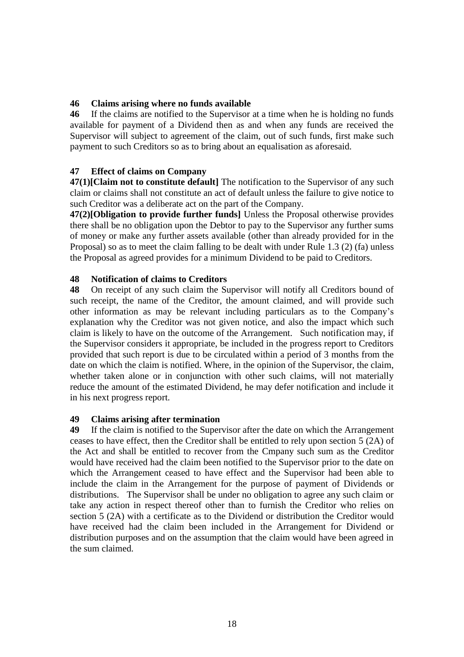### **46 Claims arising where no funds available**

**46** If the claims are notified to the Supervisor at a time when he is holding no funds available for payment of a Dividend then as and when any funds are received the Supervisor will subject to agreement of the claim, out of such funds, first make such payment to such Creditors so as to bring about an equalisation as aforesaid.

### **47 Effect of claims on Company**

**47(1)[Claim not to constitute default]** The notification to the Supervisor of any such claim or claims shall not constitute an act of default unless the failure to give notice to such Creditor was a deliberate act on the part of the Company.

**47(2)[Obligation to provide further funds]** Unless the Proposal otherwise provides there shall be no obligation upon the Debtor to pay to the Supervisor any further sums of money or make any further assets available (other than already provided for in the Proposal) so as to meet the claim falling to be dealt with under Rule 1.3 (2) (fa) unless the Proposal as agreed provides for a minimum Dividend to be paid to Creditors.

### **48 Notification of claims to Creditors**

**48** On receipt of any such claim the Supervisor will notify all Creditors bound of such receipt, the name of the Creditor, the amount claimed, and will provide such other information as may be relevant including particulars as to the Company's explanation why the Creditor was not given notice, and also the impact which such claim is likely to have on the outcome of the Arrangement. Such notification may, if the Supervisor considers it appropriate, be included in the progress report to Creditors provided that such report is due to be circulated within a period of 3 months from the date on which the claim is notified. Where, in the opinion of the Supervisor, the claim, whether taken alone or in conjunction with other such claims, will not materially reduce the amount of the estimated Dividend, he may defer notification and include it in his next progress report.

#### **49 Claims arising after termination**

**49** If the claim is notified to the Supervisor after the date on which the Arrangement ceases to have effect, then the Creditor shall be entitled to rely upon section 5 (2A) of the Act and shall be entitled to recover from the Cmpany such sum as the Creditor would have received had the claim been notified to the Supervisor prior to the date on which the Arrangement ceased to have effect and the Supervisor had been able to include the claim in the Arrangement for the purpose of payment of Dividends or distributions. The Supervisor shall be under no obligation to agree any such claim or take any action in respect thereof other than to furnish the Creditor who relies on section 5 (2A) with a certificate as to the Dividend or distribution the Creditor would have received had the claim been included in the Arrangement for Dividend or distribution purposes and on the assumption that the claim would have been agreed in the sum claimed.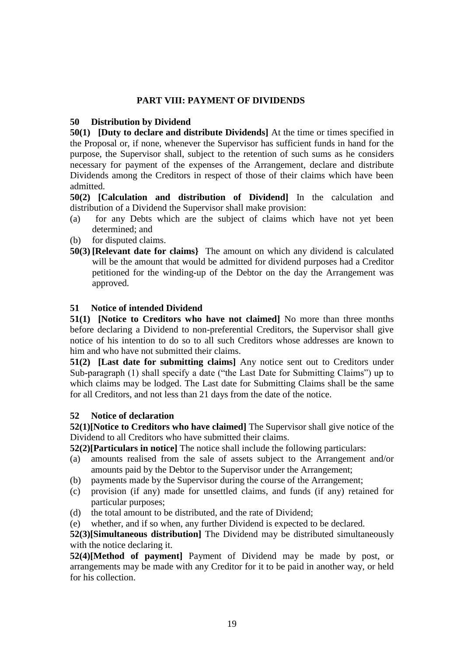### **PART VIII: PAYMENT OF DIVIDENDS**

#### **50 Distribution by Dividend**

**50(1) [Duty to declare and distribute Dividends]** At the time or times specified in the Proposal or, if none, whenever the Supervisor has sufficient funds in hand for the purpose, the Supervisor shall, subject to the retention of such sums as he considers necessary for payment of the expenses of the Arrangement, declare and distribute Dividends among the Creditors in respect of those of their claims which have been admitted.

**50(2) [Calculation and distribution of Dividend]** In the calculation and distribution of a Dividend the Supervisor shall make provision:

- (a) for any Debts which are the subject of claims which have not yet been determined; and
- (b) for disputed claims.
- **50(3) [Relevant date for claims}** The amount on which any dividend is calculated will be the amount that would be admitted for dividend purposes had a Creditor petitioned for the winding-up of the Debtor on the day the Arrangement was approved.

### **51 Notice of intended Dividend**

**51(1) [Notice to Creditors who have not claimed]** No more than three months before declaring a Dividend to non-preferential Creditors, the Supervisor shall give notice of his intention to do so to all such Creditors whose addresses are known to him and who have not submitted their claims.

**51(2) [Last date for submitting claims]** Any notice sent out to Creditors under Sub-paragraph (1) shall specify a date ("the Last Date for Submitting Claims") up to which claims may be lodged. The Last date for Submitting Claims shall be the same for all Creditors, and not less than 21 days from the date of the notice.

#### **52 Notice of declaration**

**52(1)[Notice to Creditors who have claimed]** The Supervisor shall give notice of the Dividend to all Creditors who have submitted their claims.

**52(2)[Particulars in notice]** The notice shall include the following particulars:

- (a) amounts realised from the sale of assets subject to the Arrangement and/or amounts paid by the Debtor to the Supervisor under the Arrangement;
- (b) payments made by the Supervisor during the course of the Arrangement;
- (c) provision (if any) made for unsettled claims, and funds (if any) retained for particular purposes;
- (d) the total amount to be distributed, and the rate of Dividend;
- (e) whether, and if so when, any further Dividend is expected to be declared.

**52(3)[Simultaneous distribution]** The Dividend may be distributed simultaneously with the notice declaring it.

**52(4)[Method of payment]** Payment of Dividend may be made by post, or arrangements may be made with any Creditor for it to be paid in another way, or held for his collection.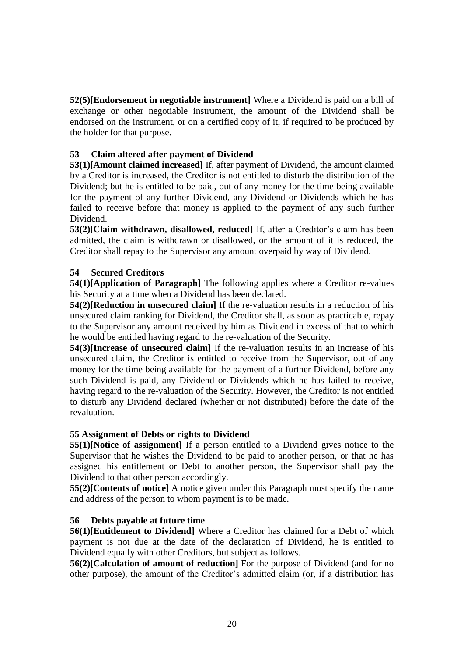**52(5)[Endorsement in negotiable instrument]** Where a Dividend is paid on a bill of exchange or other negotiable instrument, the amount of the Dividend shall be endorsed on the instrument, or on a certified copy of it, if required to be produced by the holder for that purpose.

### **53 Claim altered after payment of Dividend**

**53(1)[Amount claimed increased]** If, after payment of Dividend, the amount claimed by a Creditor is increased, the Creditor is not entitled to disturb the distribution of the Dividend; but he is entitled to be paid, out of any money for the time being available for the payment of any further Dividend, any Dividend or Dividends which he has failed to receive before that money is applied to the payment of any such further Dividend.

**53(2)[Claim withdrawn, disallowed, reduced]** If, after a Creditor's claim has been admitted, the claim is withdrawn or disallowed, or the amount of it is reduced, the Creditor shall repay to the Supervisor any amount overpaid by way of Dividend.

### **54 Secured Creditors**

**54(1)[Application of Paragraph]** The following applies where a Creditor re-values his Security at a time when a Dividend has been declared.

**54(2)[Reduction in unsecured claim]** If the re-valuation results in a reduction of his unsecured claim ranking for Dividend, the Creditor shall, as soon as practicable, repay to the Supervisor any amount received by him as Dividend in excess of that to which he would be entitled having regard to the re-valuation of the Security.

**54(3)[Increase of unsecured claim]** If the re-valuation results in an increase of his unsecured claim, the Creditor is entitled to receive from the Supervisor, out of any money for the time being available for the payment of a further Dividend, before any such Dividend is paid, any Dividend or Dividends which he has failed to receive, having regard to the re-valuation of the Security. However, the Creditor is not entitled to disturb any Dividend declared (whether or not distributed) before the date of the revaluation.

### **55 Assignment of Debts or rights to Dividend**

**55(1)[Notice of assignment]** If a person entitled to a Dividend gives notice to the Supervisor that he wishes the Dividend to be paid to another person, or that he has assigned his entitlement or Debt to another person, the Supervisor shall pay the Dividend to that other person accordingly.

**55(2)[Contents of notice]** A notice given under this Paragraph must specify the name and address of the person to whom payment is to be made.

### **56 Debts payable at future time**

**56(1)[Entitlement to Dividend]** Where a Creditor has claimed for a Debt of which payment is not due at the date of the declaration of Dividend, he is entitled to Dividend equally with other Creditors, but subject as follows.

**56(2)[Calculation of amount of reduction]** For the purpose of Dividend (and for no other purpose), the amount of the Creditor's admitted claim (or, if a distribution has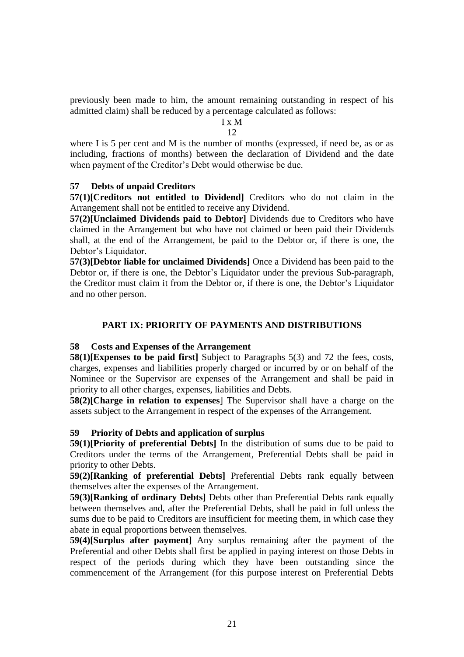previously been made to him, the amount remaining outstanding in respect of his admitted claim) shall be reduced by a percentage calculated as follows:

#### I x M 12

where I is 5 per cent and M is the number of months (expressed, if need be, as or as including, fractions of months) between the declaration of Dividend and the date when payment of the Creditor's Debt would otherwise be due.

### **57 Debts of unpaid Creditors**

**57(1)[Creditors not entitled to Dividend]** Creditors who do not claim in the Arrangement shall not be entitled to receive any Dividend.

**57(2)[Unclaimed Dividends paid to Debtor]** Dividends due to Creditors who have claimed in the Arrangement but who have not claimed or been paid their Dividends shall, at the end of the Arrangement, be paid to the Debtor or, if there is one, the Debtor's Liquidator.

**57(3)[Debtor liable for unclaimed Dividends]** Once a Dividend has been paid to the Debtor or, if there is one, the Debtor's Liquidator under the previous Sub-paragraph, the Creditor must claim it from the Debtor or, if there is one, the Debtor's Liquidator and no other person.

### **PART IX: PRIORITY OF PAYMENTS AND DISTRIBUTIONS**

#### **58 Costs and Expenses of the Arrangement**

**58(1)[Expenses to be paid first]** Subject to Paragraphs 5(3) and 72 the fees, costs, charges, expenses and liabilities properly charged or incurred by or on behalf of the Nominee or the Supervisor are expenses of the Arrangement and shall be paid in priority to all other charges, expenses, liabilities and Debts.

**58(2)[Charge in relation to expenses**] The Supervisor shall have a charge on the assets subject to the Arrangement in respect of the expenses of the Arrangement.

#### **59 Priority of Debts and application of surplus**

**59(1)[Priority of preferential Debts]** In the distribution of sums due to be paid to Creditors under the terms of the Arrangement, Preferential Debts shall be paid in priority to other Debts.

**59(2)[Ranking of preferential Debts]** Preferential Debts rank equally between themselves after the expenses of the Arrangement.

**59(3)[Ranking of ordinary Debts]** Debts other than Preferential Debts rank equally between themselves and, after the Preferential Debts, shall be paid in full unless the sums due to be paid to Creditors are insufficient for meeting them, in which case they abate in equal proportions between themselves.

**59(4)[Surplus after payment]** Any surplus remaining after the payment of the Preferential and other Debts shall first be applied in paying interest on those Debts in respect of the periods during which they have been outstanding since the commencement of the Arrangement (for this purpose interest on Preferential Debts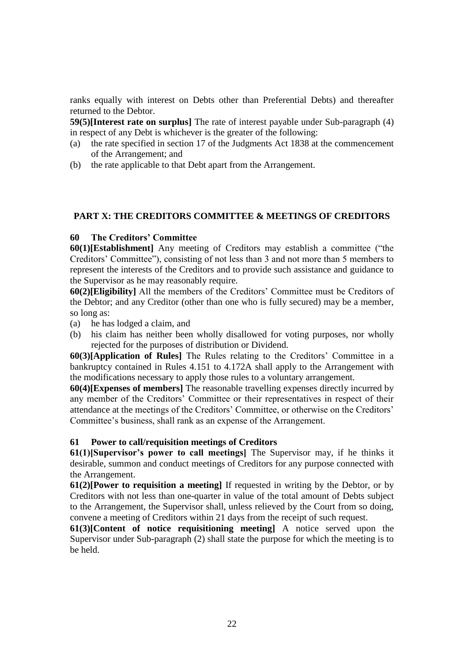ranks equally with interest on Debts other than Preferential Debts) and thereafter returned to the Debtor.

**59(5)[Interest rate on surplus]** The rate of interest payable under Sub-paragraph (4) in respect of any Debt is whichever is the greater of the following:

- (a) the rate specified in section 17 of the Judgments Act 1838 at the commencement of the Arrangement; and
- (b) the rate applicable to that Debt apart from the Arrangement.

### **PART X: THE CREDITORS COMMITTEE & MEETINGS OF CREDITORS**

#### **60 The Creditors' Committee**

**60(1)[Establishment]** Any meeting of Creditors may establish a committee ("the Creditors' Committee"), consisting of not less than 3 and not more than 5 members to represent the interests of the Creditors and to provide such assistance and guidance to the Supervisor as he may reasonably require.

**60(2)[Eligibility]** All the members of the Creditors' Committee must be Creditors of the Debtor; and any Creditor (other than one who is fully secured) may be a member, so long as:

- (a) he has lodged a claim, and
- (b) his claim has neither been wholly disallowed for voting purposes, nor wholly rejected for the purposes of distribution or Dividend.

**60(3)[Application of Rules]** The Rules relating to the Creditors' Committee in a bankruptcy contained in Rules 4.151 to 4.172A shall apply to the Arrangement with the modifications necessary to apply those rules to a voluntary arrangement.

**60(4)[Expenses of members]** The reasonable travelling expenses directly incurred by any member of the Creditors' Committee or their representatives in respect of their attendance at the meetings of the Creditors' Committee, or otherwise on the Creditors' Committee's business, shall rank as an expense of the Arrangement.

#### **61 Power to call/requisition meetings of Creditors**

**61(1)[Supervisor's power to call meetings]** The Supervisor may, if he thinks it desirable, summon and conduct meetings of Creditors for any purpose connected with the Arrangement.

**61(2)[Power to requisition a meeting]** If requested in writing by the Debtor, or by Creditors with not less than one-quarter in value of the total amount of Debts subject to the Arrangement, the Supervisor shall, unless relieved by the Court from so doing, convene a meeting of Creditors within 21 days from the receipt of such request.

**61(3)[Content of notice requisitioning meeting]** A notice served upon the Supervisor under Sub-paragraph (2) shall state the purpose for which the meeting is to be held.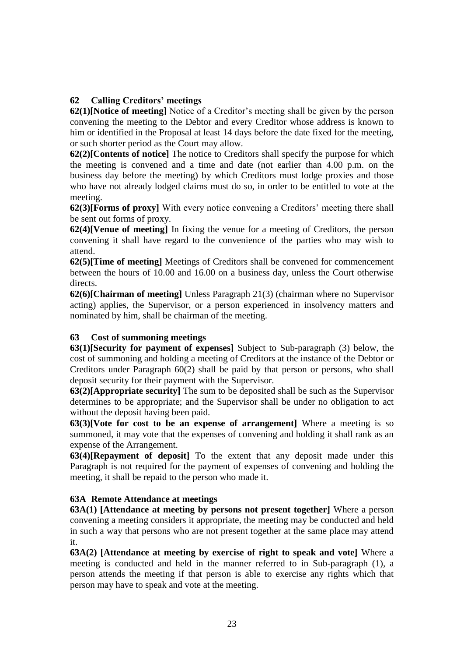### **62 Calling Creditors' meetings**

**62(1)[Notice of meeting]** Notice of a Creditor's meeting shall be given by the person convening the meeting to the Debtor and every Creditor whose address is known to him or identified in the Proposal at least 14 days before the date fixed for the meeting, or such shorter period as the Court may allow.

**62(2)[Contents of notice]** The notice to Creditors shall specify the purpose for which the meeting is convened and a time and date (not earlier than 4.00 p.m. on the business day before the meeting) by which Creditors must lodge proxies and those who have not already lodged claims must do so, in order to be entitled to vote at the meeting.

**62(3)[Forms of proxy]** With every notice convening a Creditors' meeting there shall be sent out forms of proxy.

**62(4)[Venue of meeting]** In fixing the venue for a meeting of Creditors, the person convening it shall have regard to the convenience of the parties who may wish to attend.

**62(5)[Time of meeting]** Meetings of Creditors shall be convened for commencement between the hours of 10.00 and 16.00 on a business day, unless the Court otherwise directs.

**62(6)[Chairman of meeting]** Unless Paragraph 21(3) (chairman where no Supervisor acting) applies, the Supervisor, or a person experienced in insolvency matters and nominated by him, shall be chairman of the meeting.

### **63 Cost of summoning meetings**

**63(1)[Security for payment of expenses]** Subject to Sub-paragraph (3) below, the cost of summoning and holding a meeting of Creditors at the instance of the Debtor or Creditors under Paragraph 60(2) shall be paid by that person or persons, who shall deposit security for their payment with the Supervisor.

**63(2)[Appropriate security]** The sum to be deposited shall be such as the Supervisor determines to be appropriate; and the Supervisor shall be under no obligation to act without the deposit having been paid.

**63(3)[Vote for cost to be an expense of arrangement]** Where a meeting is so summoned, it may vote that the expenses of convening and holding it shall rank as an expense of the Arrangement.

**63(4)[Repayment of deposit]** To the extent that any deposit made under this Paragraph is not required for the payment of expenses of convening and holding the meeting, it shall be repaid to the person who made it.

### **63A Remote Attendance at meetings**

**63A(1) [Attendance at meeting by persons not present together]** Where a person convening a meeting considers it appropriate, the meeting may be conducted and held in such a way that persons who are not present together at the same place may attend it.

**63A(2) [Attendance at meeting by exercise of right to speak and vote]** Where a meeting is conducted and held in the manner referred to in Sub-paragraph (1), a person attends the meeting if that person is able to exercise any rights which that person may have to speak and vote at the meeting.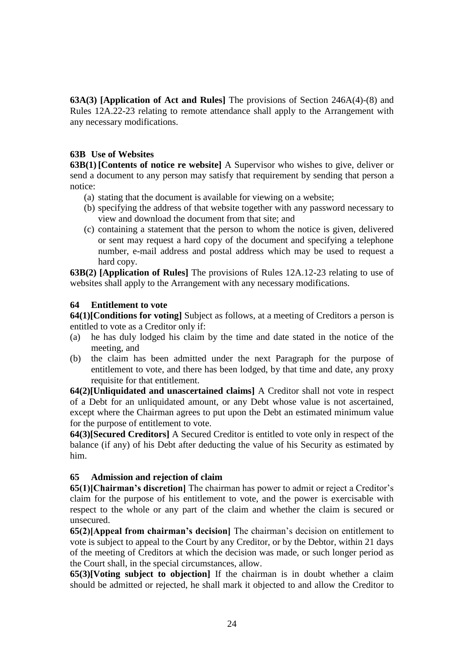**63A(3) [Application of Act and Rules]** The provisions of Section 246A(4)-(8) and Rules 12A.22-23 relating to remote attendance shall apply to the Arrangement with any necessary modifications.

#### **63B Use of Websites**

**63B(1)[Contents of notice re website]** A Supervisor who wishes to give, deliver or send a document to any person may satisfy that requirement by sending that person a notice:

- (a) stating that the document is available for viewing on a website;
- (b) specifying the address of that website together with any password necessary to view and download the document from that site; and
- (c) containing a statement that the person to whom the notice is given, delivered or sent may request a hard copy of the document and specifying a telephone number, e-mail address and postal address which may be used to request a hard copy.

**63B(2) [Application of Rules]** The provisions of Rules 12A.12-23 relating to use of websites shall apply to the Arrangement with any necessary modifications.

### **64 Entitlement to vote**

**64(1)[Conditions for voting]** Subject as follows, at a meeting of Creditors a person is entitled to vote as a Creditor only if:

- (a) he has duly lodged his claim by the time and date stated in the notice of the meeting, and
- (b) the claim has been admitted under the next Paragraph for the purpose of entitlement to vote, and there has been lodged, by that time and date, any proxy requisite for that entitlement.

**64(2)[Unliquidated and unascertained claims]** A Creditor shall not vote in respect of a Debt for an unliquidated amount, or any Debt whose value is not ascertained, except where the Chairman agrees to put upon the Debt an estimated minimum value for the purpose of entitlement to vote.

**64(3)[Secured Creditors]** A Secured Creditor is entitled to vote only in respect of the balance (if any) of his Debt after deducting the value of his Security as estimated by him.

#### **65 Admission and rejection of claim**

**65(1)[Chairman's discretion]** The chairman has power to admit or reject a Creditor's claim for the purpose of his entitlement to vote, and the power is exercisable with respect to the whole or any part of the claim and whether the claim is secured or unsecured.

**65(2)[Appeal from chairman's decision]** The chairman's decision on entitlement to vote is subject to appeal to the Court by any Creditor, or by the Debtor, within 21 days of the meeting of Creditors at which the decision was made, or such longer period as the Court shall, in the special circumstances, allow.

**65(3)[Voting subject to objection]** If the chairman is in doubt whether a claim should be admitted or rejected, he shall mark it objected to and allow the Creditor to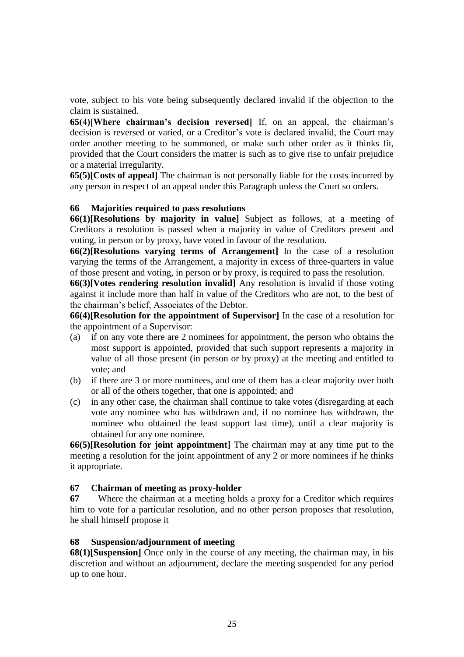vote, subject to his vote being subsequently declared invalid if the objection to the claim is sustained.

**65(4)[Where chairman's decision reversed]** If, on an appeal, the chairman's decision is reversed or varied, or a Creditor's vote is declared invalid, the Court may order another meeting to be summoned, or make such other order as it thinks fit, provided that the Court considers the matter is such as to give rise to unfair prejudice or a material irregularity.

**65(5)[Costs of appeal]** The chairman is not personally liable for the costs incurred by any person in respect of an appeal under this Paragraph unless the Court so orders.

#### **66 Majorities required to pass resolutions**

**66(1)[Resolutions by majority in value]** Subject as follows, at a meeting of Creditors a resolution is passed when a majority in value of Creditors present and voting, in person or by proxy, have voted in favour of the resolution.

**66(2)[Resolutions varying terms of Arrangement]** In the case of a resolution varying the terms of the Arrangement, a majority in excess of three-quarters in value of those present and voting, in person or by proxy, is required to pass the resolution.

**66(3)[Votes rendering resolution invalid]** Any resolution is invalid if those voting against it include more than half in value of the Creditors who are not, to the best of the chairman's belief, Associates of the Debtor.

**66(4)[Resolution for the appointment of Supervisor]** In the case of a resolution for the appointment of a Supervisor:

- (a) if on any vote there are 2 nominees for appointment, the person who obtains the most support is appointed, provided that such support represents a majority in value of all those present (in person or by proxy) at the meeting and entitled to vote; and
- (b) if there are 3 or more nominees, and one of them has a clear majority over both or all of the others together, that one is appointed; and
- (c) in any other case, the chairman shall continue to take votes (disregarding at each vote any nominee who has withdrawn and, if no nominee has withdrawn, the nominee who obtained the least support last time), until a clear majority is obtained for any one nominee.

**66(5)[Resolution for joint appointment]** The chairman may at any time put to the meeting a resolution for the joint appointment of any 2 or more nominees if he thinks it appropriate.

#### **67 Chairman of meeting as proxy-holder**

**67** Where the chairman at a meeting holds a proxy for a Creditor which requires him to vote for a particular resolution, and no other person proposes that resolution, he shall himself propose it

#### **68 Suspension/adjournment of meeting**

**68(1)**[Suspension] Once only in the course of any meeting, the chairman may, in his discretion and without an adjournment, declare the meeting suspended for any period up to one hour.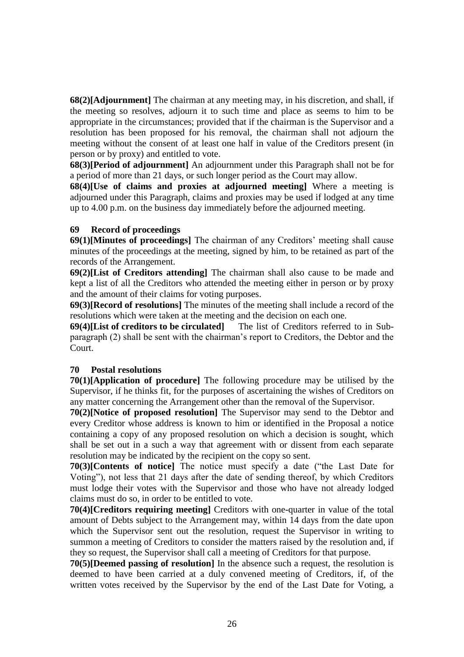**68(2)[Adjournment]** The chairman at any meeting may, in his discretion, and shall, if the meeting so resolves, adjourn it to such time and place as seems to him to be appropriate in the circumstances; provided that if the chairman is the Supervisor and a resolution has been proposed for his removal, the chairman shall not adjourn the meeting without the consent of at least one half in value of the Creditors present (in person or by proxy) and entitled to vote.

**68(3)[Period of adjournment]** An adjournment under this Paragraph shall not be for a period of more than 21 days, or such longer period as the Court may allow.

**68(4)[Use of claims and proxies at adjourned meeting]** Where a meeting is adjourned under this Paragraph, claims and proxies may be used if lodged at any time up to 4.00 p.m. on the business day immediately before the adjourned meeting.

### **69 Record of proceedings**

**69(1)[Minutes of proceedings]** The chairman of any Creditors' meeting shall cause minutes of the proceedings at the meeting, signed by him, to be retained as part of the records of the Arrangement.

**69(2)[List of Creditors attending]** The chairman shall also cause to be made and kept a list of all the Creditors who attended the meeting either in person or by proxy and the amount of their claims for voting purposes.

**69(3)[Record of resolutions]** The minutes of the meeting shall include a record of the resolutions which were taken at the meeting and the decision on each one.

**69(4)[List of creditors to be circulated]** The list of Creditors referred to in Subparagraph (2) shall be sent with the chairman's report to Creditors, the Debtor and the Court.

### **70 Postal resolutions**

**70(1)[Application of procedure]** The following procedure may be utilised by the Supervisor, if he thinks fit, for the purposes of ascertaining the wishes of Creditors on any matter concerning the Arrangement other than the removal of the Supervisor.

**70(2)[Notice of proposed resolution]** The Supervisor may send to the Debtor and every Creditor whose address is known to him or identified in the Proposal a notice containing a copy of any proposed resolution on which a decision is sought, which shall be set out in a such a way that agreement with or dissent from each separate resolution may be indicated by the recipient on the copy so sent.

**70(3)[Contents of notice]** The notice must specify a date ("the Last Date for Voting"), not less that 21 days after the date of sending thereof, by which Creditors must lodge their votes with the Supervisor and those who have not already lodged claims must do so, in order to be entitled to vote.

**70(4)[Creditors requiring meeting]** Creditors with one-quarter in value of the total amount of Debts subject to the Arrangement may, within 14 days from the date upon which the Supervisor sent out the resolution, request the Supervisor in writing to summon a meeting of Creditors to consider the matters raised by the resolution and, if they so request, the Supervisor shall call a meeting of Creditors for that purpose.

**70(5)[Deemed passing of resolution]** In the absence such a request, the resolution is deemed to have been carried at a duly convened meeting of Creditors, if, of the written votes received by the Supervisor by the end of the Last Date for Voting, a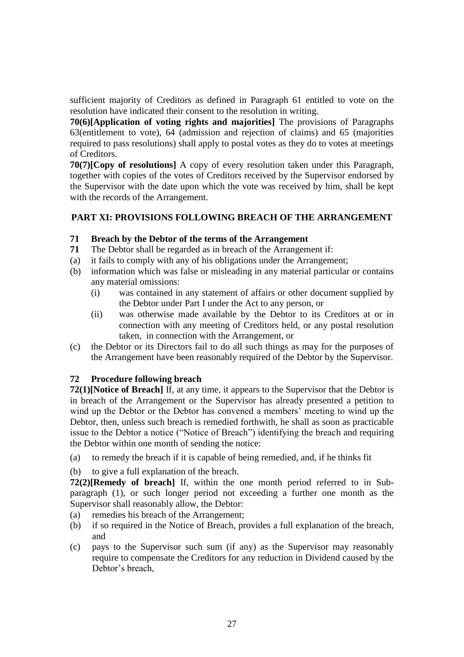sufficient majority of Creditors as defined in Paragraph 61 entitled to vote on the resolution have indicated their consent to the resolution in writing.

**70(6)[Application of voting rights and majorities]** The provisions of Paragraphs 63(entitlement to vote), 64 (admission and rejection of claims) and 65 (majorities required to pass resolutions) shall apply to postal votes as they do to votes at meetings of Creditors.

**70(7)[Copy of resolutions]** A copy of every resolution taken under this Paragraph, together with copies of the votes of Creditors received by the Supervisor endorsed by the Supervisor with the date upon which the vote was received by him, shall be kept with the records of the Arrangement.

### **PART XI: PROVISIONS FOLLOWING BREACH OF THE ARRANGEMENT**

#### **71 Breach by the Debtor of the terms of the Arrangement**

- **71** The Debtor shall be regarded as in breach of the Arrangement if:
- (a) it fails to comply with any of his obligations under the Arrangement;
- (b) information which was false or misleading in any material particular or contains any material omissions:
	- (i) was contained in any statement of affairs or other document supplied by the Debtor under Part I under the Act to any person, or
	- (ii) was otherwise made available by the Debtor to its Creditors at or in connection with any meeting of Creditors held, or any postal resolution taken, in connection with the Arrangement, or
- (c) the Debtor or its Directors fail to do all such things as may for the purposes of the Arrangement have been reasonably required of the Debtor by the Supervisor.

#### **72 Procedure following breach**

**72(1)[Notice of Breach]** If, at any time, it appears to the Supervisor that the Debtor is in breach of the Arrangement or the Supervisor has already presented a petition to wind up the Debtor or the Debtor has convened a members' meeting to wind up the Debtor, then, unless such breach is remedied forthwith, he shall as soon as practicable issue to the Debtor a notice ("Notice of Breach") identifying the breach and requiring the Debtor within one month of sending the notice:

- (a) to remedy the breach if it is capable of being remedied, and, if he thinks fit
- (b) to give a full explanation of the breach.

**72(2)[Remedy of breach]** If, within the one month period referred to in Subparagraph (1), or such longer period not exceeding a further one month as the Supervisor shall reasonably allow, the Debtor:

- (a) remedies his breach of the Arrangement;
- (b) if so required in the Notice of Breach, provides a full explanation of the breach, and
- (c) pays to the Supervisor such sum (if any) as the Supervisor may reasonably require to compensate the Creditors for any reduction in Dividend caused by the Debtor's breach,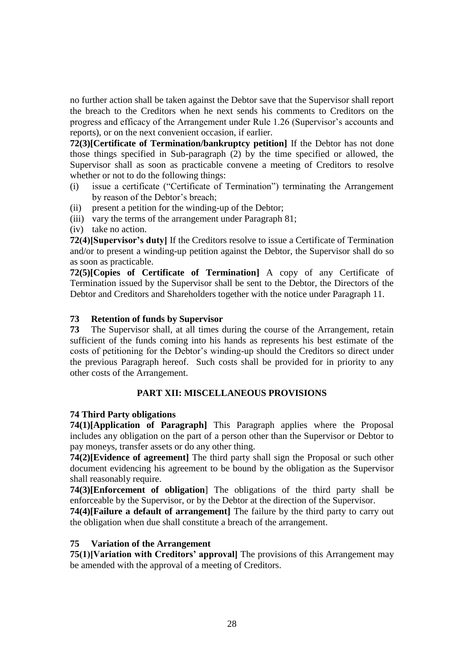no further action shall be taken against the Debtor save that the Supervisor shall report the breach to the Creditors when he next sends his comments to Creditors on the progress and efficacy of the Arrangement under Rule 1.26 (Supervisor's accounts and reports), or on the next convenient occasion, if earlier.

**72(3)[Certificate of Termination/bankruptcy petition]** If the Debtor has not done those things specified in Sub-paragraph (2) by the time specified or allowed, the Supervisor shall as soon as practicable convene a meeting of Creditors to resolve whether or not to do the following things:

- (i) issue a certificate ("Certificate of Termination") terminating the Arrangement by reason of the Debtor's breach;
- (ii) present a petition for the winding-up of the Debtor;
- (iii) vary the terms of the arrangement under Paragraph 81;
- (iv) take no action.

**72(4)[Supervisor's duty]** If the Creditors resolve to issue a Certificate of Termination and/or to present a winding-up petition against the Debtor, the Supervisor shall do so as soon as practicable.

**72(5)[Copies of Certificate of Termination]** A copy of any Certificate of Termination issued by the Supervisor shall be sent to the Debtor, the Directors of the Debtor and Creditors and Shareholders together with the notice under Paragraph 11.

### **73 Retention of funds by Supervisor**

**73** The Supervisor shall, at all times during the course of the Arrangement, retain sufficient of the funds coming into his hands as represents his best estimate of the costs of petitioning for the Debtor's winding-up should the Creditors so direct under the previous Paragraph hereof. Such costs shall be provided for in priority to any other costs of the Arrangement.

### **PART XII: MISCELLANEOUS PROVISIONS**

#### **74 Third Party obligations**

**74(1)[Application of Paragraph]** This Paragraph applies where the Proposal includes any obligation on the part of a person other than the Supervisor or Debtor to pay moneys, transfer assets or do any other thing.

**74(2)[Evidence of agreement]** The third party shall sign the Proposal or such other document evidencing his agreement to be bound by the obligation as the Supervisor shall reasonably require.

**74(3)[Enforcement of obligation**] The obligations of the third party shall be enforceable by the Supervisor, or by the Debtor at the direction of the Supervisor.

**74(4)[Failure a default of arrangement]** The failure by the third party to carry out the obligation when due shall constitute a breach of the arrangement.

#### **75 Variation of the Arrangement**

**75(1)[Variation with Creditors' approval]** The provisions of this Arrangement may be amended with the approval of a meeting of Creditors.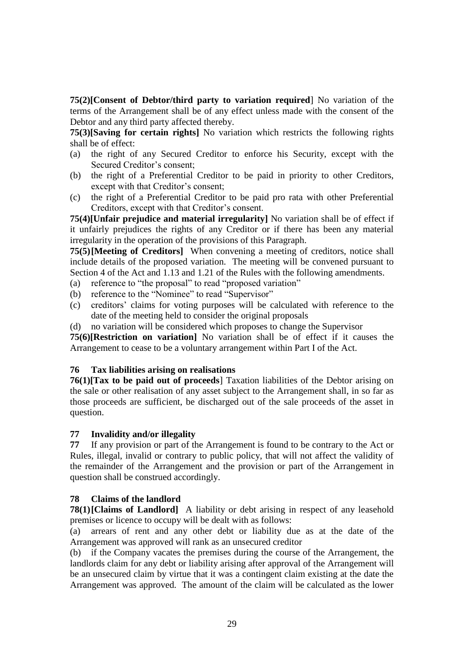**75(2)[Consent of Debtor/third party to variation required**] No variation of the terms of the Arrangement shall be of any effect unless made with the consent of the Debtor and any third party affected thereby.

**75(3)[Saving for certain rights]** No variation which restricts the following rights shall be of effect:

- (a) the right of any Secured Creditor to enforce his Security, except with the Secured Creditor's consent;
- (b) the right of a Preferential Creditor to be paid in priority to other Creditors, except with that Creditor's consent;
- (c) the right of a Preferential Creditor to be paid pro rata with other Preferential Creditors, except with that Creditor's consent.

**75(4)[Unfair prejudice and material irregularity]** No variation shall be of effect if it unfairly prejudices the rights of any Creditor or if there has been any material irregularity in the operation of the provisions of this Paragraph.

**75(5)[Meeting of Creditors]** When convening a meeting of creditors, notice shall include details of the proposed variation. The meeting will be convened pursuant to Section 4 of the Act and 1.13 and 1.21 of the Rules with the following amendments.

- (a) reference to "the proposal" to read "proposed variation"
- (b) reference to the "Nominee" to read "Supervisor"
- (c) creditors' claims for voting purposes will be calculated with reference to the date of the meeting held to consider the original proposals

(d) no variation will be considered which proposes to change the Supervisor

**75(6)[Restriction on variation]** No variation shall be of effect if it causes the Arrangement to cease to be a voluntary arrangement within Part I of the Act.

#### **76 Tax liabilities arising on realisations**

**76(1)[Tax to be paid out of proceeds**] Taxation liabilities of the Debtor arising on the sale or other realisation of any asset subject to the Arrangement shall, in so far as those proceeds are sufficient, be discharged out of the sale proceeds of the asset in question.

#### **77 Invalidity and/or illegality**

**77** If any provision or part of the Arrangement is found to be contrary to the Act or Rules, illegal, invalid or contrary to public policy, that will not affect the validity of the remainder of the Arrangement and the provision or part of the Arrangement in question shall be construed accordingly.

#### **78 Claims of the landlord**

**78(1)**[Claims of Landlord] A liability or debt arising in respect of any leasehold premises or licence to occupy will be dealt with as follows:

(a) arrears of rent and any other debt or liability due as at the date of the Arrangement was approved will rank as an unsecured creditor

(b) if the Company vacates the premises during the course of the Arrangement, the landlords claim for any debt or liability arising after approval of the Arrangement will be an unsecured claim by virtue that it was a contingent claim existing at the date the Arrangement was approved. The amount of the claim will be calculated as the lower